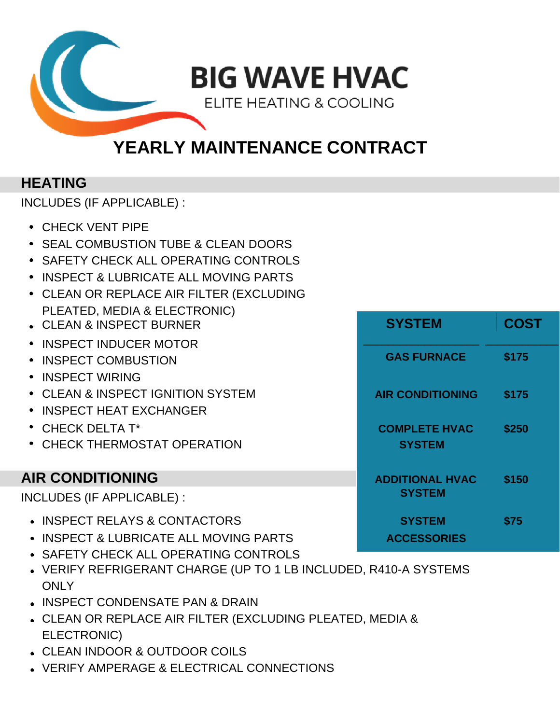

# **YEARLY MAINTENANCE CONTRACT**

### **HEATING**

INCLUDES (IF APPLICABLE) :

- CHECK VENT PIPE
- SEAL COMBUSTION TUBE & CLEAN DOORS
- **SAFETY CHECK ALL OPERATING CONTROLS**
- **INSPECT & LUBRICATE ALL MOVING PARTS**
- CLEAN OR REPLACE AIR FILTER (EXCLUDING PLEATED, MEDIA & ELECTRONIC)
- **CLEAN & INSPECT BURNER**
- INSPECT INDUCER MOTOR
- **INSPECT COMBUSTION**
- INSPECT WIRING
- **CLEAN & INSPECT IGNITION SYSTEM**
- INSPECT HEAT EXCHANGER
- $^*$  CHECK DELTA T<sup>\*</sup>
- **CHECK THERMOSTAT OPERATION**

## **AIR CONDITIONING**

INCLUDES (IF APPLICABLE) :

- $\cdot$  **INSPECT RELAYS & CONTACTORS**
- **INSPECT & LUBRICATE ALL MOVING PARTS**
- SAFETY CHECK ALL OPERATING CONTROLS
- VERIFY REFRIGERANT CHARGE (UP TO 1 LB INCLUDED, R410-A SYSTEMS **ONLY**
- . INSPECT CONDENSATE PAN & DRAIN
- CLEAN OR REPLACE AIR FILTER (EXCLUDING PLEATED, MEDIA & ELECTRONIC)
- CLEAN INDOOR & OUTDOOR COILS
- VERIFY AMPERAGE & ELECTRICAL CONNECTIONS

| <b>SYSTEM</b>                           | <b>COST</b> |
|-----------------------------------------|-------------|
| <b>GAS FURNACE</b>                      | \$175       |
| <b>AIR CONDITIONING</b>                 | \$175       |
| <b>COMPLETE HVAC</b><br><b>SYSTEM</b>   | \$250       |
| <b>ADDITIONAL HVAC</b><br><b>SYSTEM</b> | \$150       |
| <b>SYSTEM</b><br><b>ACCESSORIES</b>     | \$75        |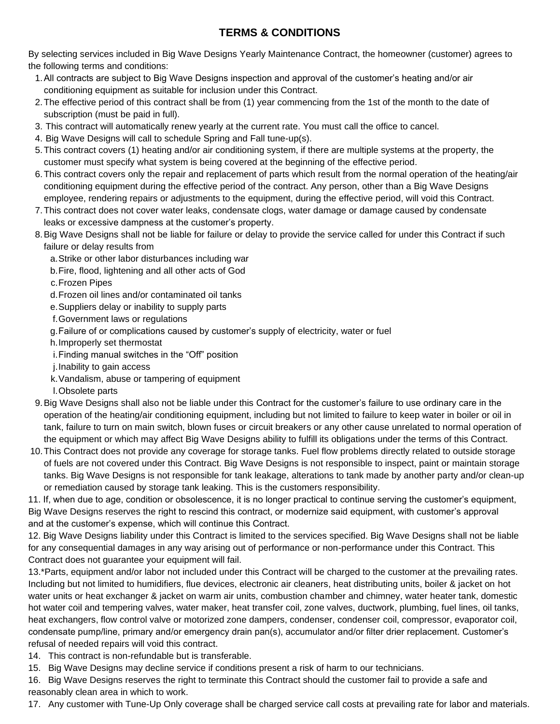### **TERMS & CONDITIONS**

By selecting services included in Big Wave Designs Yearly Maintenance Contract, the homeowner (customer) agrees to the following terms and conditions:

- 1.All contracts are subject to Big Wave Designs inspection and approval of the customer's heating and/or air conditioning equipment as suitable for inclusion under this Contract.
- 2.The effective period of this contract shall be from (1) year commencing from the 1st of the month to the date of subscription (must be paid in full).
- 3. This contract will automatically renew yearly at the current rate. You must call the office to cancel.
- 4. Big Wave Designs will call to schedule Spring and Fall tune-up(s).
- 5.This contract covers (1) heating and/or air conditioning system, if there are multiple systems at the property, the customer must specify what system is being covered at the beginning of the effective period.
- 6.This contract covers only the repair and replacement of parts which result from the normal operation of the heating/air conditioning equipment during the effective period of the contract. Any person, other than a Big Wave Designs employee, rendering repairs or adjustments to the equipment, during the effective period, will void this Contract.
- 7.This contract does not cover water leaks, condensate clogs, water damage or damage caused by condensate leaks or excessive dampness at the customer's property.
- 8.Big Wave Designs shall not be liable for failure or delay to provide the service called for under this Contract if such failure or delay results from
	- a.Strike or other labor disturbances including war
	- b.Fire, flood, lightening and all other acts of God

c.Frozen Pipes

- d.Frozen oil lines and/or contaminated oil tanks
- e.Suppliers delay or inability to supply parts
- f.Government laws or regulations
- g.Failure of or complications caused by customer's supply of electricity, water or fuel
- h.Improperly set thermostat
- i.Finding manual switches in the "Off" position
- j.Inability to gain access
- k.Vandalism, abuse or tampering of equipment
- l.Obsolete parts
- 9.Big Wave Designs shall also not be liable under this Contract for the customer's failure to use ordinary care in the operation of the heating/air conditioning equipment, including but not limited to failure to keep water in boiler or oil in tank, failure to turn on main switch, blown fuses or circuit breakers or any other cause unrelated to normal operation of the equipment or which may affect Big Wave Designs ability to fulfill its obligations under the terms of this Contract.
- 10.This Contract does not provide any coverage for storage tanks. Fuel flow problems directly related to outside storage of fuels are not covered under this Contract. Big Wave Designs is not responsible to inspect, paint or maintain storage tanks. Big Wave Designs is not responsible for tank leakage, alterations to tank made by another party and/or clean-up or remediation caused by storage tank leaking. This is the customers responsibility.

11. If, when due to age, condition or obsolescence, it is no longer practical to continue serving the customer's equipment, Big Wave Designs reserves the right to rescind this contract, or modernize said equipment, with customer's approval and at the customer's expense, which will continue this Contract.

12. Big Wave Designs liability under this Contract is limited to the services specified. Big Wave Designs shall not be liable for any consequential damages in any way arising out of performance or non-performance under this Contract. This Contract does not guarantee your equipment will fail.

13.\*Parts, equipment and/or labor not included under this Contract will be charged to the customer at the prevailing rates. Including but not limited to humidifiers, flue devices, electronic air cleaners, heat distributing units, boiler & jacket on hot water units or heat exchanger & jacket on warm air units, combustion chamber and chimney, water heater tank, domestic hot water coil and tempering valves, water maker, heat transfer coil, zone valves, ductwork, plumbing, fuel lines, oil tanks, heat exchangers, flow control valve or motorized zone dampers, condenser, condenser coil, compressor, evaporator coil, condensate pump/line, primary and/or emergency drain pan(s), accumulator and/or filter drier replacement. Customer's refusal of needed repairs will void this contract.

- 14. This contract is non-refundable but is transferable.
- 15. Big Wave Designs may decline service if conditions present a risk of harm to our technicians.

16. Big Wave Designs reserves the right to terminate this Contract should the customer fail to provide a safe and reasonably clean area in which to work.

17. Any customer with Tune-Up Only coverage shall be charged service call costs at prevailing rate for labor and materials.